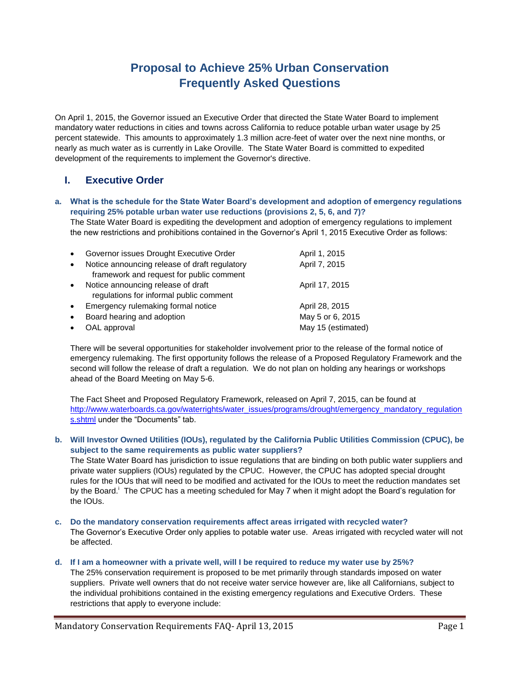# **Proposal to Achieve 25% Urban Conservation Frequently Asked Questions**

On April 1, 2015, the Governor issued an Executive Order that directed the State Water Board to implement mandatory water reductions in cities and towns across California to reduce potable urban water usage by 25 percent statewide. This amounts to approximately 1.3 million acre-feet of water over the next nine months, or nearly as much water as is currently in Lake Oroville. The State Water Board is committed to expedited development of the requirements to implement the Governor's directive.

# **I. Executive Order**

**a. What is the schedule for the State Water Board's development and adoption of emergency regulations requiring 25% potable urban water use reductions (provisions 2, 5, 6, and 7)?**

The State Water Board is expediting the development and adoption of emergency regulations to implement the new restrictions and prohibitions contained in the Governor's April 1, 2015 Executive Order as follows:

| $\bullet$ | Governor issues Drought Executive Order                                                   | April 1, 2015      |
|-----------|-------------------------------------------------------------------------------------------|--------------------|
| $\bullet$ | Notice announcing release of draft regulatory<br>framework and request for public comment | April 7, 2015      |
| $\bullet$ | Notice announcing release of draft<br>regulations for informal public comment             | April 17, 2015     |
| $\bullet$ | Emergency rulemaking formal notice                                                        | April 28, 2015     |
| $\bullet$ | Board hearing and adoption                                                                | May 5 or 6, 2015   |
| $\bullet$ | OAL approval                                                                              | May 15 (estimated) |
|           |                                                                                           |                    |

There will be several opportunities for stakeholder involvement prior to the release of the formal notice of emergency rulemaking. The first opportunity follows the release of a Proposed Regulatory Framework and the second will follow the release of draft a regulation. We do not plan on holding any hearings or workshops ahead of the Board Meeting on May 5-6.

The Fact Sheet and Proposed Regulatory Framework, released on April 7, 2015, can be found at [http://www.waterboards.ca.gov/waterrights/water\\_issues/programs/drought/emergency\\_mandatory\\_regulation](http://www.waterboards.ca.gov/waterrights/water_issues/programs/drought/emergency_mandatory_regulations.shtml) [s.shtml](http://www.waterboards.ca.gov/waterrights/water_issues/programs/drought/emergency_mandatory_regulations.shtml) under the "Documents" tab.

**b. Will Investor Owned Utilities (IOUs), regulated by the California Public Utilities Commission (CPUC), be subject to the same requirements as public water suppliers?** 

The State Water Board has jurisdiction to issue regulations that are binding on both public water suppliers and private water suppliers (IOUs) regulated by the CPUC. However, the CPUC has adopted special drought rules for the IOUs that will need to be modified and activated for the IOUs to meet the reduction mandates set by the Board.<sup>i</sup> The CPUC has a meeting scheduled for May 7 when it might adopt the Board's regulation for the IOUs.

- **c. Do the mandatory conservation requirements affect areas irrigated with recycled water?** The Governor's Executive Order only applies to potable water use. Areas irrigated with recycled water will not be affected.
- **d. If I am a homeowner with a private well, will I be required to reduce my water use by 25%?**

The 25% conservation requirement is proposed to be met primarily through standards imposed on water suppliers. Private well owners that do not receive water service however are, like all Californians, subject to the individual prohibitions contained in the existing emergency regulations and Executive Orders. These restrictions that apply to everyone include: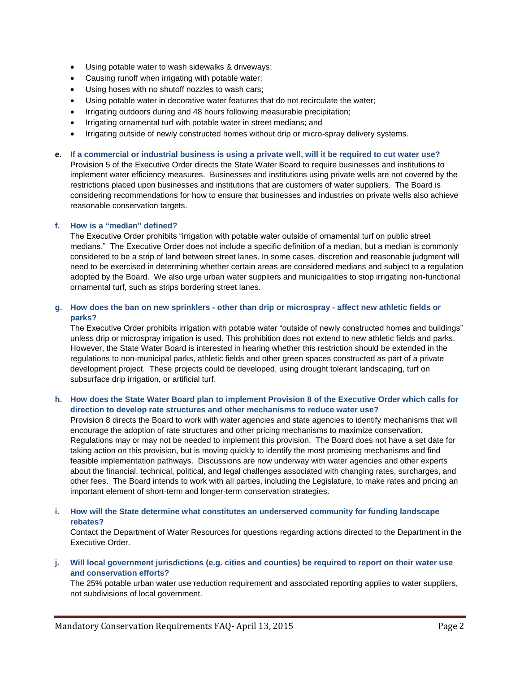- Using potable water to wash sidewalks & driveways;
- Causing runoff when irrigating with potable water;
- Using hoses with no shutoff nozzles to wash cars;
- Using potable water in decorative water features that do not recirculate the water;
- Irrigating outdoors during and 48 hours following measurable precipitation;
- Irrigating ornamental turf with potable water in street medians; and
- Irrigating outside of newly constructed homes without drip or micro-spray delivery systems.
- **e. If a commercial or industrial business is using a private well, will it be required to cut water use?** Provision 5 of the Executive Order directs the State Water Board to require businesses and institutions to implement water efficiency measures. Businesses and institutions using private wells are not covered by the

restrictions placed upon businesses and institutions that are customers of water suppliers. The Board is considering recommendations for how to ensure that businesses and industries on private wells also achieve reasonable conservation targets.

### **f. How is a "median" defined?**

The Executive Order prohibits "irrigation with potable water outside of ornamental turf on public street medians." The Executive Order does not include a specific definition of a median, but a median is commonly considered to be a strip of land between street lanes. In some cases, discretion and reasonable judgment will need to be exercised in determining whether certain areas are considered medians and subject to a regulation adopted by the Board. We also urge urban water suppliers and municipalities to stop irrigating non-functional ornamental turf, such as strips bordering street lanes.

# **g. How does the ban on new sprinklers - other than drip or microspray - affect new athletic fields or parks?**

The Executive Order prohibits irrigation with potable water "outside of newly constructed homes and buildings" unless drip or microspray irrigation is used. This prohibition does not extend to new athletic fields and parks. However, the State Water Board is interested in hearing whether this restriction should be extended in the regulations to non-municipal parks, athletic fields and other green spaces constructed as part of a private development project. These projects could be developed, using drought tolerant landscaping, turf on subsurface drip irrigation, or artificial turf.

### **h. How does the State Water Board plan to implement Provision 8 of the Executive Order which calls for direction to develop rate structures and other mechanisms to reduce water use?**

Provision 8 directs the Board to work with water agencies and state agencies to identify mechanisms that will encourage the adoption of rate structures and other pricing mechanisms to maximize conservation. Regulations may or may not be needed to implement this provision. The Board does not have a set date for taking action on this provision, but is moving quickly to identify the most promising mechanisms and find feasible implementation pathways. Discussions are now underway with water agencies and other experts about the financial, technical, political, and legal challenges associated with changing rates, surcharges, and other fees. The Board intends to work with all parties, including the Legislature, to make rates and pricing an important element of short-term and longer-term conservation strategies.

# **i. How will the State determine what constitutes an underserved community for funding landscape rebates?**

Contact the Department of Water Resources for questions regarding actions directed to the Department in the Executive Order.

# **j. Will local government jurisdictions (e.g. cities and counties) be required to report on their water use and conservation efforts?**

The 25% potable urban water use reduction requirement and associated reporting applies to water suppliers, not subdivisions of local government.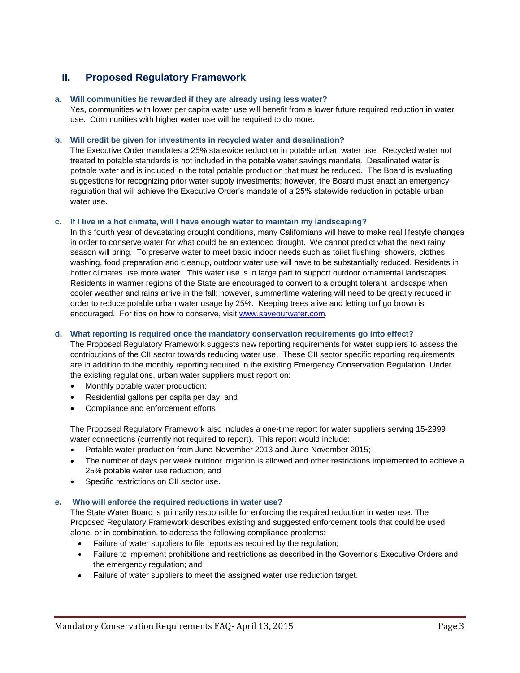# **II. Proposed Regulatory Framework**

#### **a. Will communities be rewarded if they are already using less water?**

Yes, communities with lower per capita water use will benefit from a lower future required reduction in water use. Communities with higher water use will be required to do more.

#### **b. Will credit be given for investments in recycled water and desalination?**

The Executive Order mandates a 25% statewide reduction in potable urban water use. Recycled water not treated to potable standards is not included in the potable water savings mandate. Desalinated water is potable water and is included in the total potable production that must be reduced. The Board is evaluating suggestions for recognizing prior water supply investments; however, the Board must enact an emergency regulation that will achieve the Executive Order's mandate of a 25% statewide reduction in potable urban water use.

#### **c. If I live in a hot climate, will I have enough water to maintain my landscaping?**

In this fourth year of devastating drought conditions, many Californians will have to make real lifestyle changes in order to conserve water for what could be an extended drought. We cannot predict what the next rainy season will bring. To preserve water to meet basic indoor needs such as toilet flushing, showers, clothes washing, food preparation and cleanup, outdoor water use will have to be substantially reduced. Residents in hotter climates use more water. This water use is in large part to support outdoor ornamental landscapes. Residents in warmer regions of the State are encouraged to convert to a drought tolerant landscape when cooler weather and rains arrive in the fall; however, summertime watering will need to be greatly reduced in order to reduce potable urban water usage by 25%. Keeping trees alive and letting turf go brown is encouraged. For tips on how to conserve, visit [www.saveourwater.com.](http://www.saveourwater.com/)

#### **d. What reporting is required once the mandatory conservation requirements go into effect?**

The Proposed Regulatory Framework suggests new reporting requirements for water suppliers to assess the contributions of the CII sector towards reducing water use. These CII sector specific reporting requirements are in addition to the monthly reporting required in the existing Emergency Conservation Regulation. Under the existing regulations, urban water suppliers must report on:

- Monthly potable water production;
- Residential gallons per capita per day; and
- Compliance and enforcement efforts

The Proposed Regulatory Framework also includes a one-time report for water suppliers serving 15-2999 water connections (currently not required to report). This report would include:

- Potable water production from June-November 2013 and June-November 2015;
- The number of days per week outdoor irrigation is allowed and other restrictions implemented to achieve a 25% potable water use reduction; and
- Specific restrictions on CII sector use.

#### **e. Who will enforce the required reductions in water use?**

The State Water Board is primarily responsible for enforcing the required reduction in water use. The Proposed Regulatory Framework describes existing and suggested enforcement tools that could be used alone, or in combination, to address the following compliance problems:

- Failure of water suppliers to file reports as required by the regulation;
- Failure to implement prohibitions and restrictions as described in the Governor's Executive Orders and the emergency regulation; and
- Failure of water suppliers to meet the assigned water use reduction target.